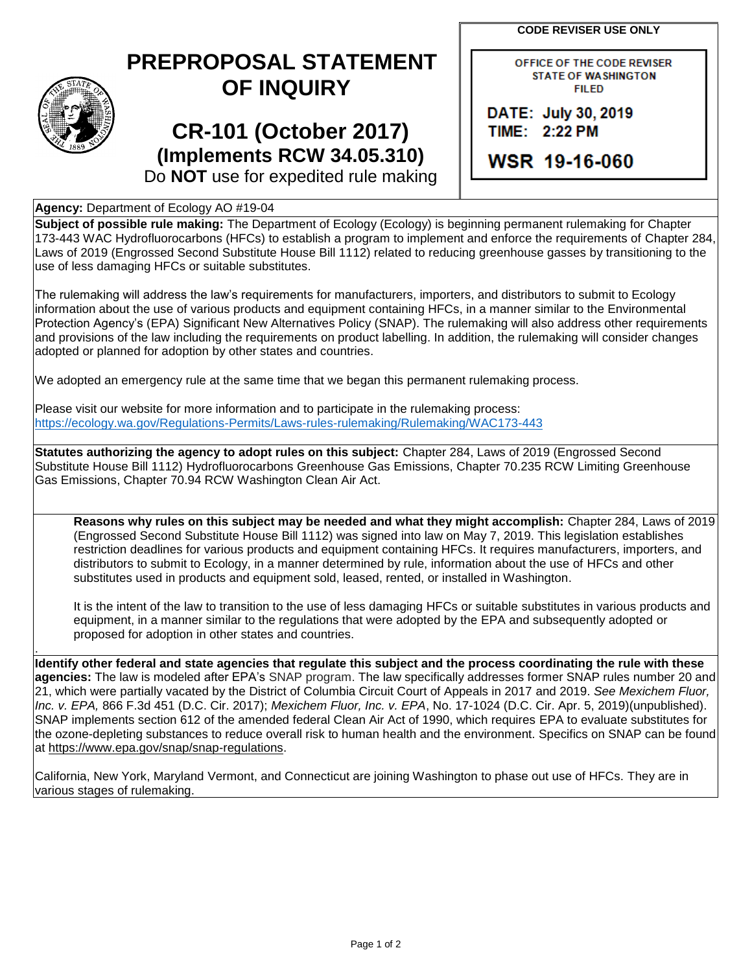**CODE REVISER USE ONLY**

## **PREPROPOSAL STATEMENT OF INQUIRY**

## **CR-101 (October 2017) (Implements RCW 34.05.310)**

OFFICE OF THE CODE REVISER **STATE OF WASHINGTON FILED** 

DATE: July 30, 2019 TIME: 2:22 PM

WSR 19-16-060

Do **NOT** use for expedited rule making

## **Agency:** Department of Ecology AO #19-04

**Subject of possible rule making:** The Department of Ecology (Ecology) is beginning permanent rulemaking for Chapter 173-443 WAC Hydrofluorocarbons (HFCs) to establish a program to implement and enforce the requirements of Chapter 284, Laws of 2019 (Engrossed Second Substitute House Bill 1112) related to reducing greenhouse gasses by transitioning to the use of less damaging HFCs or suitable substitutes.

The rulemaking will address the law's requirements for manufacturers, importers, and distributors to submit to Ecology information about the use of various products and equipment containing HFCs, in a manner similar to the Environmental Protection Agency's (EPA) Significant New Alternatives Policy (SNAP). The rulemaking will also address other requirements and provisions of the law including the requirements on product labelling. In addition, the rulemaking will consider changes adopted or planned for adoption by other states and countries.

We adopted an emergency rule at the same time that we began this permanent rulemaking process.

Please visit our website for more information and to participate in the rulemaking process: <https://ecology.wa.gov/Regulations-Permits/Laws-rules-rulemaking/Rulemaking/WAC173-443>

**Statutes authorizing the agency to adopt rules on this subject:** Chapter 284, Laws of 2019 (Engrossed Second Substitute House Bill 1112) Hydrofluorocarbons Greenhouse Gas Emissions, Chapter 70.235 RCW Limiting Greenhouse Gas Emissions, Chapter 70.94 RCW Washington Clean Air Act.

**Reasons why rules on this subject may be needed and what they might accomplish:** Chapter 284, Laws of 2019 (Engrossed Second Substitute House Bill 1112) was signed into law on May 7, 2019. This legislation establishes restriction deadlines for various products and equipment containing HFCs. It requires manufacturers, importers, and distributors to submit to Ecology, in a manner determined by rule, information about the use of HFCs and other substitutes used in products and equipment sold, leased, rented, or installed in Washington.

It is the intent of the law to transition to the use of less damaging HFCs or suitable substitutes in various products and equipment, in a manner similar to the regulations that were adopted by the EPA and subsequently adopted or proposed for adoption in other states and countries.

. **Identify other federal and state agencies that regulate this subject and the process coordinating the rule with these agencies:** The law is modeled after EPA's SNAP program. The law specifically addresses former SNAP rules number 20 and 21, which were partially vacated by the District of Columbia Circuit Court of Appeals in 2017 and 2019. *See Mexichem Fluor, Inc. v. EPA,* 866 F.3d 451 (D.C. Cir. 2017); *Mexichem Fluor, Inc. v. EPA*, No. 17-1024 (D.C. Cir. Apr. 5, 2019)(unpublished). SNAP implements section 612 of the amended federal Clean Air Act of 1990, which requires EPA to evaluate substitutes for the ozone-depleting substances to reduce overall risk to human health and the environment. Specifics on SNAP can be found at [https://www.epa.gov/snap/snap-regulations.](https://www.epa.gov/snap/snap-regulations)

California, New York, Maryland Vermont, and Connecticut are joining Washington to phase out use of HFCs. They are in various stages of rulemaking.